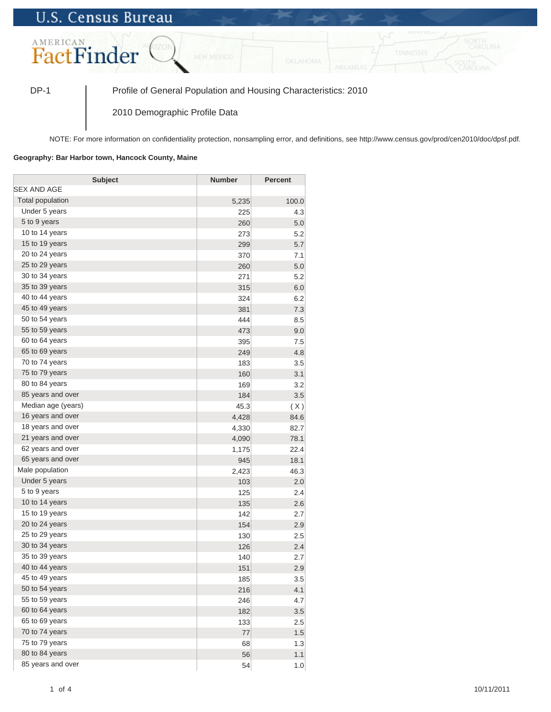## **U.S. Census Bureau**



DP-1 Profile of General Population and Housing Characteristics: 2010

2010 Demographic Profile Data

NOTE: For more information on confidentiality protection, nonsampling error, and definitions, see http://www.census.gov/prod/cen2010/doc/dpsf.pdf.

## **Geography: Bar Harbor town, Hancock County, Maine**

| <b>Subject</b>     | <b>Number</b> | Percent |
|--------------------|---------------|---------|
| SEX AND AGE        |               |         |
| Total population   | 5,235         | 100.0   |
| Under 5 years      | 225           | 4.3     |
| 5 to 9 years       | 260           | 5.0     |
| 10 to 14 years     | 273           | 5.2     |
| 15 to 19 years     | 299           | 5.7     |
| 20 to 24 years     | 370           | 7.1     |
| 25 to 29 years     | 260           | 5.0     |
| 30 to 34 years     | 271           | 5.2     |
| 35 to 39 years     | 315           | 6.0     |
| 40 to 44 years     | 324           | 6.2     |
| 45 to 49 years     | 381           | 7.3     |
| 50 to 54 years     | 444           | 8.5     |
| 55 to 59 years     | 473           | 9.0     |
| 60 to 64 years     | 395           | 7.5     |
| 65 to 69 years     | 249           | 4.8     |
| 70 to 74 years     | 183           | 3.5     |
| 75 to 79 years     | 160           | 3.1     |
| 80 to 84 years     | 169           | 3.2     |
| 85 years and over  | 184           | 3.5     |
| Median age (years) | 45.3          | (X)     |
| 16 years and over  | 4,428         | 84.6    |
| 18 years and over  | 4,330         | 82.7    |
| 21 years and over  | 4,090         | 78.1    |
| 62 years and over  | 1,175         | 22.4    |
| 65 years and over  | 945           | 18.1    |
| Male population    | 2,423         | 46.3    |
| Under 5 years      | 103           | 2.0     |
| 5 to 9 years       | 125           | 2.4     |
| 10 to 14 years     | 135           | 2.6     |
| 15 to 19 years     | 142           | 2.7     |
| 20 to 24 years     | 154           | 2.9     |
| 25 to 29 years     | 130           | 2.5     |
| 30 to 34 years     | 126           | 2.4     |
| 35 to 39 years     | 140           | 2.7     |
| 40 to 44 years     | 151           | 2.9     |
| 45 to 49 years     | 185           | 3.5     |
| 50 to 54 years     | 216           | 4.1     |
| 55 to 59 years     | 246           | 4.7     |
| 60 to 64 years     | 182           | 3.5     |
| 65 to 69 years     | 133           | 2.5     |
| 70 to 74 years     | 77            | 1.5     |
| 75 to 79 years     | 68            | 1.3     |
| 80 to 84 years     | 56            | 1.1     |
| 85 years and over  | 54            | 1.0     |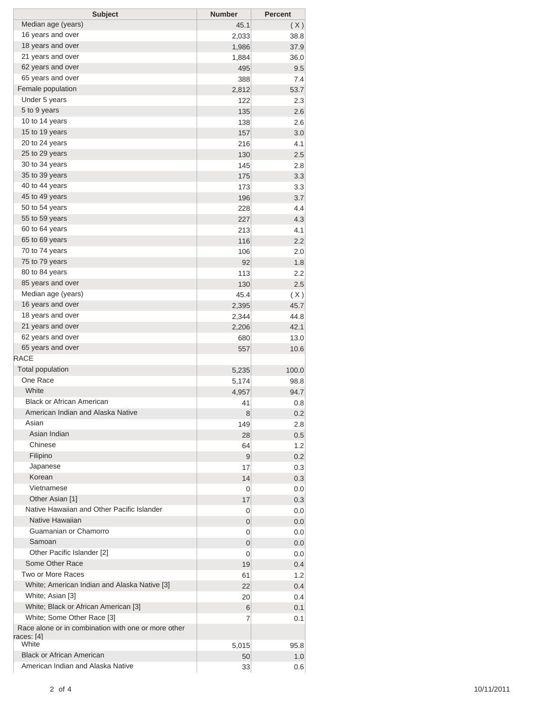| <b>Subject</b>                                      | <b>Number</b> | <b>Percent</b> |
|-----------------------------------------------------|---------------|----------------|
| Median age (years)                                  | 45.1          | (X)            |
| 16 years and over                                   | 2,033         | 38.8           |
| 18 years and over                                   | 1,986         | 37.9           |
| 21 years and over                                   | 1,884         | 36.0           |
| 62 years and over                                   | 495           | 9.5            |
| 65 years and over                                   | 388           | 7.4            |
| Female population                                   | 2,812         | 53.7           |
| Under 5 years                                       | 122           | 2.3            |
| 5 to 9 years                                        | 135           | 2.6            |
| 10 to 14 years                                      | 138           | 2.6            |
| 15 to 19 years                                      | 157           | 3.0            |
| 20 to 24 years                                      | 216           | 4.1            |
| 25 to 29 years                                      | 130           | 2.5            |
| 30 to 34 years                                      | 145           | 2.8            |
| 35 to 39 years                                      | 175           | 3.3            |
| 40 to 44 years                                      | 173           | 3.3            |
| 45 to 49 years                                      | 196           | 3.7            |
| 50 to 54 years                                      | 228           | 4.4            |
| 55 to 59 years                                      | 227           | 4.3            |
| 60 to 64 years                                      | 213           | 4.1            |
| 65 to 69 years                                      | 116           | 2.2            |
| 70 to 74 years                                      |               |                |
| 75 to 79 years                                      | 106           | 2.0            |
| 80 to 84 years                                      | 92            | 1.8            |
|                                                     | 113           | 2.2            |
| 85 years and over<br>Median age (years)             | 130           | 2.5            |
|                                                     | 45.4          | (X)            |
| 16 years and over                                   | 2,395         | 45.7           |
| 18 years and over                                   | 2,344         | 44.8           |
| 21 years and over                                   | 2,206         | 42.1           |
| 62 years and over                                   | 680           | 13.0           |
| 65 years and over                                   | 557           | 10.6           |
| <b>RACE</b>                                         |               |                |
| <b>Total population</b>                             | 5,235         | 100.0          |
| One Race                                            | 5,174         | 98.8           |
| White                                               | 4,957         | 94.7           |
| <b>Black or African American</b>                    | 41            | 0.8            |
| American Indian and Alaska Native                   | 8             | 0.2            |
| Asian                                               | 149           | 2.8            |
| Asian Indian                                        | 28            | 0.5            |
| Chinese                                             | 64            | 1.2            |
| Filipino                                            | 9             | 0.2            |
| Japanese                                            | 17            | 0.3            |
| Korean                                              | 14            | 0.3            |
| Vietnamese                                          | 0             | 0.0            |
| Other Asian [1]                                     | 17            | 0.3            |
| Native Hawaiian and Other Pacific Islander          | 0             | 0.0            |
| Native Hawaiian                                     | 0             | 0.0            |
| Guamanian or Chamorro                               | 0             | 0.0            |
| Samoan                                              | 0             | 0.0            |
| Other Pacific Islander [2]                          | 0             | 0.0            |
| Some Other Race                                     | 19            | 0.4            |
| Two or More Races                                   | 61            | 1.2            |
| White; American Indian and Alaska Native [3]        | 22            | 0.4            |
| White; Asian [3]                                    | 20            | 0.4            |
| White; Black or African American [3]                | 6             | 0.1            |
| White; Some Other Race [3]                          | 7             | 0.1            |
| Race alone or in combination with one or more other |               |                |
| races: [4]                                          |               |                |
| White                                               | 5,015         | 95.8           |
| <b>Black or African American</b>                    | 50            | 1.0            |
| American Indian and Alaska Native                   | 33            | 0.6            |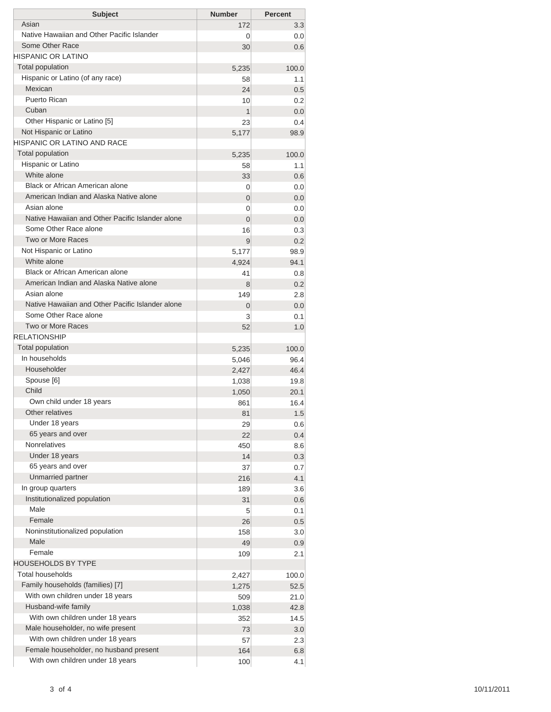| <b>Subject</b>                                                                    | <b>Number</b> | <b>Percent</b>   |
|-----------------------------------------------------------------------------------|---------------|------------------|
| Asian                                                                             | 172           | 3.3 <sub>1</sub> |
| Native Hawaiian and Other Pacific Islander                                        | 0             | 0.0              |
| Some Other Race                                                                   | 30            | 0.6              |
| HISPANIC OR LATINO                                                                |               |                  |
| Total population                                                                  | 5,235         | 100.0            |
| Hispanic or Latino (of any race)                                                  | 58            | 1.1              |
| Mexican                                                                           | 24            | 0.5              |
| Puerto Rican                                                                      | 10            | 0.2              |
| Cuban                                                                             | $\mathbf{1}$  | 0.0              |
| Other Hispanic or Latino [5]                                                      | 23            | 0.4              |
| Not Hispanic or Latino                                                            | 5,177         | 98.9             |
| HISPANIC OR LATINO AND RACE                                                       |               |                  |
| <b>Total population</b>                                                           | 5,235         | 100.0            |
| Hispanic or Latino                                                                | 58            | 1.1              |
| White alone                                                                       | 33            | 0.6              |
| Black or African American alone                                                   | 0             | 0.0              |
| American Indian and Alaska Native alone                                           | 0             | 0.0              |
| Asian alone                                                                       | 0             | 0.0              |
| Native Hawaiian and Other Pacific Islander alone                                  | 0             | 0.0              |
| Some Other Race alone<br>Two or More Races                                        | 16            | 0.3              |
|                                                                                   | 9             | 0.2              |
| Not Hispanic or Latino                                                            | 5,177         | 98.9             |
| White alone                                                                       | 4,924         | 94.1             |
| <b>Black or African American alone</b><br>American Indian and Alaska Native alone | 41            | 0.8              |
|                                                                                   | 8             | 0.2              |
| Asian alone<br>Native Hawaiian and Other Pacific Islander alone                   | 149           | 2.8              |
| Some Other Race alone                                                             | 0             | 0.0              |
| Two or More Races                                                                 | 3             | 0.1              |
| <b>RELATIONSHIP</b>                                                               | 52            | 1.0              |
| Total population                                                                  |               |                  |
| In households                                                                     | 5,235         | 100.0            |
| Householder                                                                       | 5,046         | 96.4             |
| Spouse [6]                                                                        | 2,427         | 46.4             |
| Child                                                                             | 1,038         | 19.8<br>20.1     |
| Own child under 18 years                                                          | 1,050<br>861  | 16.4             |
| Other relatives                                                                   | 81            | 1.5              |
| Under 18 years                                                                    | 29            | 0.6              |
| 65 years and over                                                                 | 22            | 0.4              |
| Nonrelatives                                                                      | 450           | 8.6              |
| Under 18 years                                                                    | 14            | 0.3              |
| 65 years and over                                                                 | 37            | 0.7              |
| <b>Unmarried partner</b>                                                          | 216           | 4.1              |
| In group quarters                                                                 | 189           | 3.6              |
| Institutionalized population                                                      | 31            | 0.6              |
| Male                                                                              | 5             | 0.1              |
| Female                                                                            | 26            | 0.5              |
| Noninstitutionalized population                                                   | 158           | 3.0              |
| Male                                                                              | 49            | 0.9              |
| Female                                                                            | 109           | 2.1              |
| <b>HOUSEHOLDS BY TYPE</b>                                                         |               |                  |
| <b>Total households</b>                                                           | 2,427         | 100.0            |
| Family households (families) [7]                                                  | 1,275         | 52.5             |
| With own children under 18 years                                                  | 509           | 21.0             |
| Husband-wife family                                                               | 1,038         | 42.8             |
| With own children under 18 years                                                  | 352           | 14.5             |
| Male householder, no wife present                                                 | 73            | 3.0              |
| With own children under 18 years                                                  | 57            | 2.3              |
| Female householder, no husband present                                            | 164           | 6.8              |
| With own children under 18 years                                                  | 100           | 4.1              |